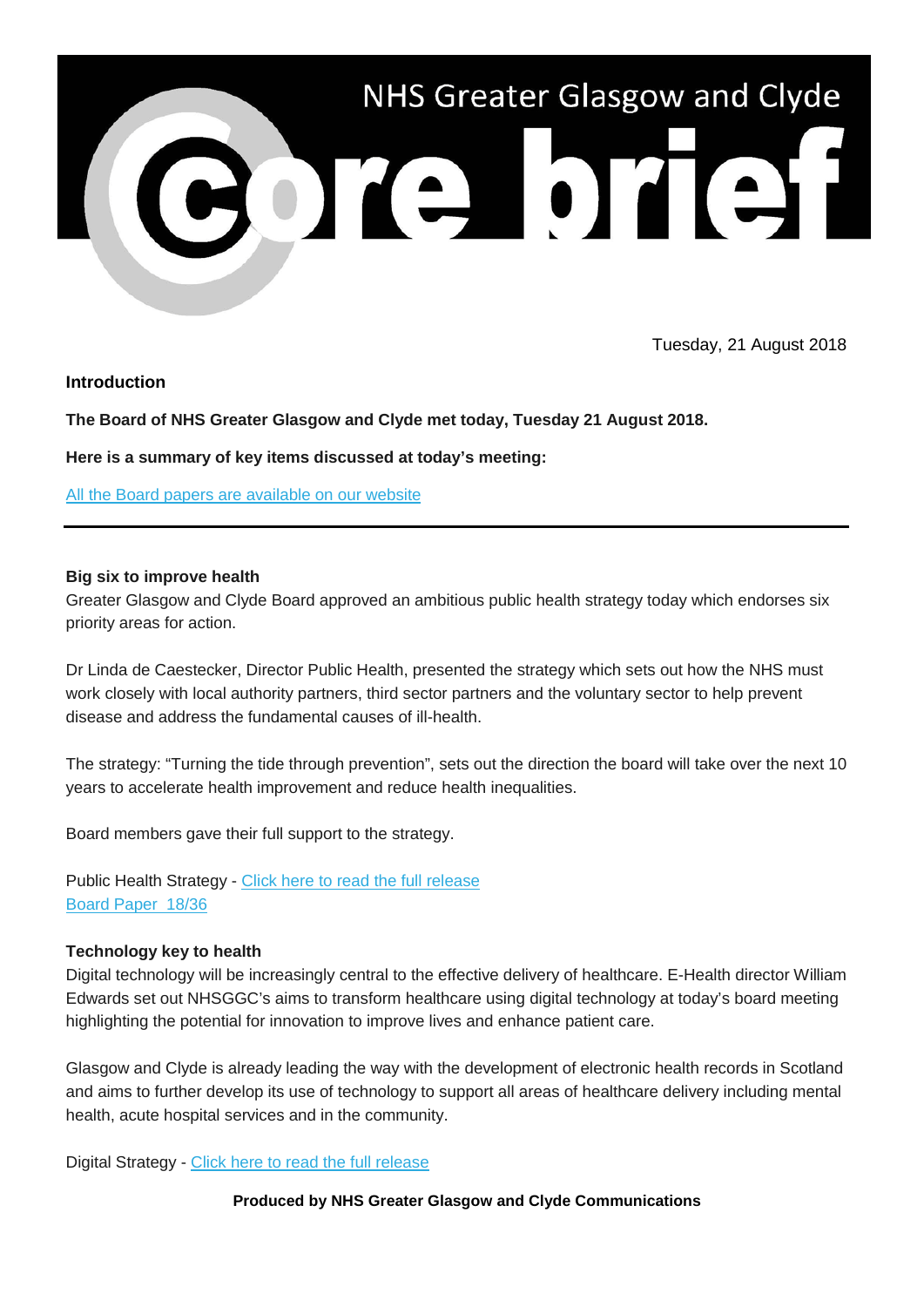

Tuesday, 21 August 2018

### **Introduction**

**The Board of NHS Greater Glasgow and Clyde met today, Tuesday 21 August 2018.**

**Here is a summary of key items discussed at today's meeting:**

[All the Board papers are available on our website](https://nhsggc.us12.list-manage.com/track/click?u=0f385b5aea37eaf0213bd19fb&id=31c977628a&e=5af5e1832c)

### **Big six to improve health**

Greater Glasgow and Clyde Board approved an ambitious public health strategy today which endorses six priority areas for action.

Dr Linda de Caestecker, Director Public Health, presented the strategy which sets out how the NHS must work closely with local authority partners, third sector partners and the voluntary sector to help prevent disease and address the fundamental causes of ill-health.

The strategy: "Turning the tide through prevention", sets out the direction the board will take over the next 10 years to accelerate health improvement and reduce health inequalities.

Board members gave their full support to the strategy.

Public Health Strategy - [Click here to read the full release](https://nhsggc.us12.list-manage.com/track/click?u=0f385b5aea37eaf0213bd19fb&id=aa1d88314a&e=5af5e1832c) [Board Paper](https://nhsggc.us12.list-manage.com/track/click?u=0f385b5aea37eaf0213bd19fb&id=a126030045&e=5af5e1832c) 18/36

### **Technology key to health**

Digital technology will be increasingly central to the effective delivery of healthcare. E-Health director William Edwards set out NHSGGC's aims to transform healthcare using digital technology at today's board meeting highlighting the potential for innovation to improve lives and enhance patient care.

Glasgow and Clyde is already leading the way with the development of electronic health records in Scotland and aims to further develop its use of technology to support all areas of healthcare delivery including mental health, acute hospital services and in the community.

Digital Strategy - [Click here to read the full release](https://nhsggc.us12.list-manage.com/track/click?u=0f385b5aea37eaf0213bd19fb&id=ca33a08e1a&e=5af5e1832c)

### **Produced by NHS Greater Glasgow and Clyde Communications**